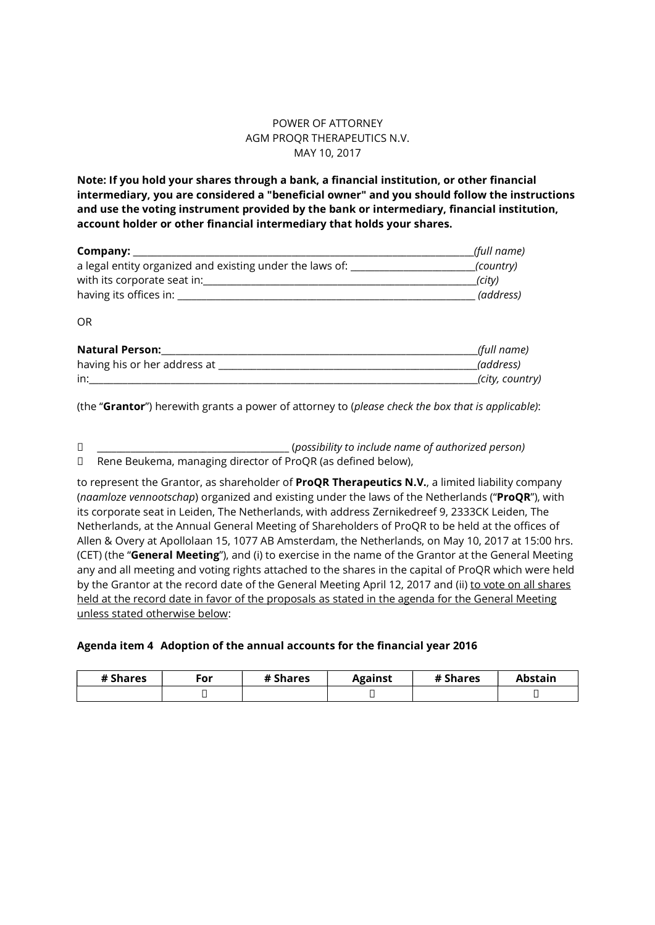## POWER OF ATTORNEY AGM PROQR THERAPEUTICS N.V. MAY 10, 2017

Note: If you hold your shares through a bank, a financial institution, or other financial intermediary, you are considered a "beneficial owner" and you should follow the instructions and use the voting instrument provided by the bank or intermediary, financial institution, account holder or other financial intermediary that holds your shares.

|                                                                             | (full name)     |
|-----------------------------------------------------------------------------|-----------------|
| a legal entity organized and existing under the laws of: __________________ | (country)       |
|                                                                             | (city)          |
|                                                                             | (address)       |
| <b>OR</b>                                                                   |                 |
| <b>Natural Person:</b> Natural Person:                                      | (full name)     |
|                                                                             | (address)       |
| $in:$ $\qquad \qquad \qquad$                                                | (city, country) |

(the "Grantor") herewith grants a power of attorney to (please check the box that is applicable):

| (possibility to include name of authorized person)                     |  |
|------------------------------------------------------------------------|--|
| $\Box$ Dens Deutspes proposition diverter of DreOD (on defined below). |  |

Rene Beukema, managing director of ProQR (as defined below),

to represent the Grantor, as shareholder of ProQR Therapeutics N.V., a limited liability company (naamloze vennootschap) organized and existing under the laws of the Netherlands ("ProQR"), with its corporate seat in Leiden, The Netherlands, with address Zernikedreef 9, 2333CK Leiden, The Netherlands, at the Annual General Meeting of Shareholders of ProQR to be held at the offices of Allen & Overy at Apollolaan 15, 1077 AB Amsterdam, the Netherlands, on May 10, 2017 at 15:00 hrs. (CET) (the "General Meeting"), and (i) to exercise in the name of the Grantor at the General Meeting any and all meeting and voting rights attached to the shares in the capital of ProQR which were held by the Grantor at the record date of the General Meeting April 12, 2017 and (ii) to vote on all shares held at the record date in favor of the proposals as stated in the agenda for the General Meeting unless stated otherwise below:

#### Agenda item 4 Adoption of the annual accounts for the financial year 2016

| # Shares | $\epsilon$ or | # Shares | <b>Against</b> | # Shares | Abstain |
|----------|---------------|----------|----------------|----------|---------|
|          |               |          | –              |          |         |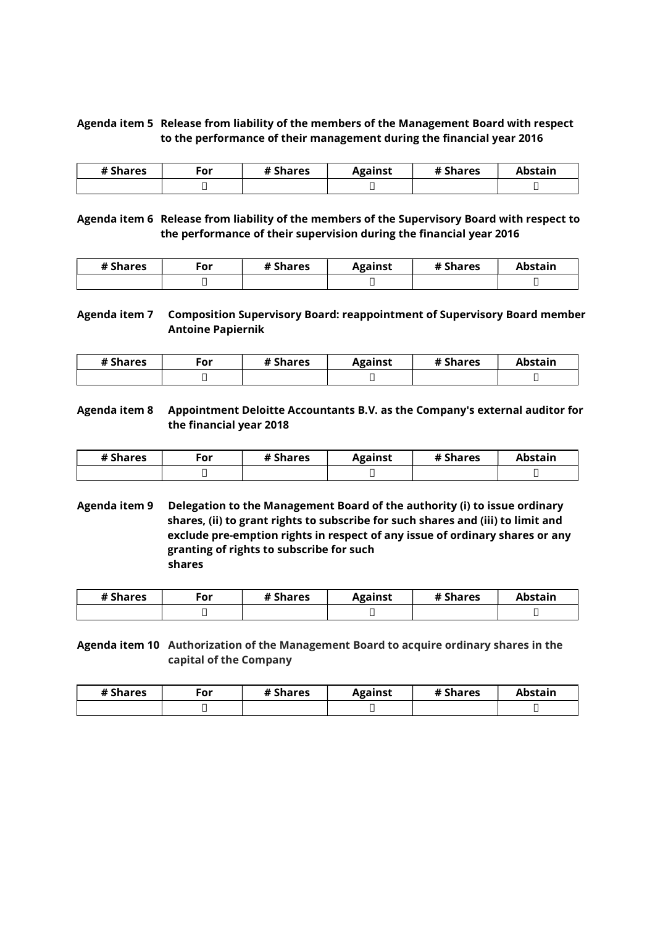# Agenda item 5 Release from liability of the members of the Management Board with respect to the performance of their management during the financial year 2016

| # Shares | $\mathsf{c}_\mathsf{or}$ | # Shares | <b>Against</b> | # Shares | Abstain |
|----------|--------------------------|----------|----------------|----------|---------|
|          |                          |          | –              |          | ــ      |

Agenda item 6 Release from liability of the members of the Supervisory Board with respect to the performance of their supervision during the financial year 2016

| # Shares | $\mathsf{For}$ | # Shares | Against | # Shares | <b>`hstain</b> |
|----------|----------------|----------|---------|----------|----------------|
|          |                |          |         |          |                |

### Agenda item 7 Composition Supervisory Board: reappointment of Supervisory Board member Antoine Papiernik

| # Shares | ™or | # Shares | Against | # Shares | Abstain |
|----------|-----|----------|---------|----------|---------|
|          |     |          | _       |          | -       |

### Agenda item 8 Appointment Deloitte Accountants B.V. as the Company's external auditor for the financial year 2018

| # Shares | ۰or | # Shares | Against | # Shares | Abstain |
|----------|-----|----------|---------|----------|---------|
|          |     |          |         |          | -       |

Agenda item 9 Delegation to the Management Board of the authority (i) to issue ordinary shares, (ii) to grant rights to subscribe for such shares and (iii) to limit and exclude pre-emption rights in respect of any issue of ordinary shares or any granting of rights to subscribe for such shares

| # Shares | ٠or | # Shares | Against | # Shares | Abstain |
|----------|-----|----------|---------|----------|---------|
|          | -   |          | ــ      |          | -       |

# Agenda item 10 Authorization of the Management Board to acquire ordinary shares in the capital of the Company

| # Shares | $\epsilon$ or | # Shares | Against | # Shares | <b>Abstain</b> |
|----------|---------------|----------|---------|----------|----------------|
|          |               |          |         |          |                |